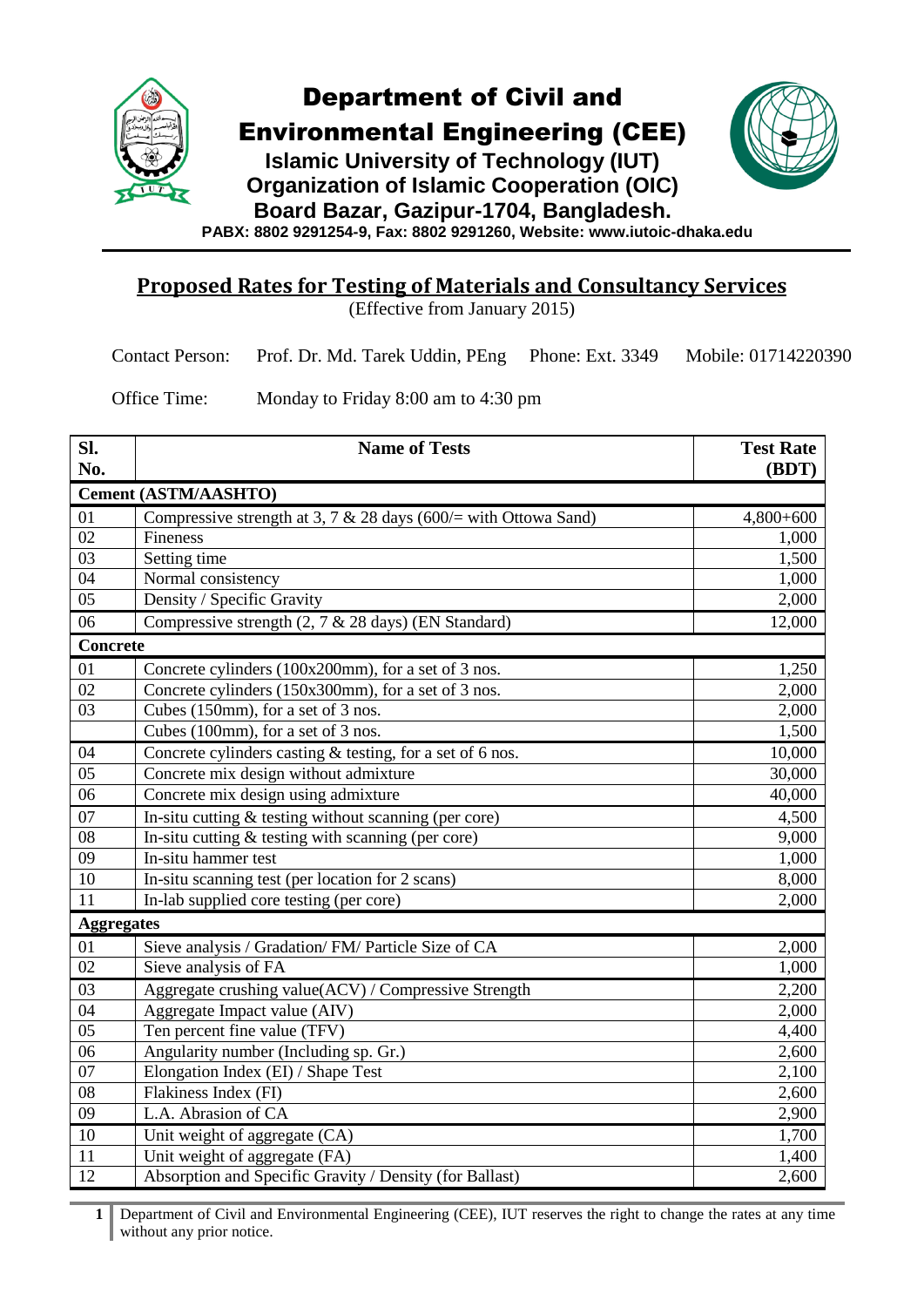

Environmental Engineering (CEE)

**Islamic University of Technology (IUT) Organization of Islamic Cooperation (OIC) Board Bazar, Gazipur-1704, Bangladesh.**



**PABX: 8802 9291254-9, Fax: 8802 9291260, Website: www.iutoic-dhaka.edu**

## **Proposed Rates for Testing of Materials and Consultancy Services**

(Effective from January 2015)

| Contact Person: Prof. Dr. Md. Tarek Uddin, PEng Phone: Ext. 3349 Mobile: 01714220390 |  |  |
|--------------------------------------------------------------------------------------|--|--|
|--------------------------------------------------------------------------------------|--|--|

Office Time: Monday to Friday 8:00 am to 4:30 pm

| Sl.<br>No.        | <b>Name of Tests</b>                                            | <b>Test Rate</b><br>(BDT) |
|-------------------|-----------------------------------------------------------------|---------------------------|
|                   | <b>Cement (ASTM/AASHTO)</b>                                     |                           |
| 01                | Compressive strength at 3, 7 & 28 days (600/= with Ottowa Sand) | $4,800+600$               |
| $\overline{02}$   | Fineness                                                        | 1,000                     |
| $\overline{03}$   | Setting time                                                    | 1,500                     |
| 04                | Normal consistency                                              | 1,000                     |
| $\overline{05}$   | Density / Specific Gravity                                      | 2,000                     |
| 06                | Compressive strength (2, 7 & 28 days) (EN Standard)             | 12,000                    |
| <b>Concrete</b>   |                                                                 |                           |
| 01                | Concrete cylinders (100x200mm), for a set of 3 nos.             | 1,250                     |
| 02                | Concrete cylinders (150x300mm), for a set of 3 nos.             | 2,000                     |
| $\overline{03}$   | Cubes (150mm), for a set of 3 nos.                              | 2,000                     |
|                   | Cubes (100mm), for a set of 3 nos.                              | 1,500                     |
| 04                | Concrete cylinders casting & testing, for a set of 6 nos.       | 10,000                    |
| $\overline{05}$   | Concrete mix design without admixture                           | 30,000                    |
| 06                | Concrete mix design using admixture                             | 40,000                    |
| 07                | In-situ cutting $&$ testing without scanning (per core)         | 4,500                     |
| 08                | In-situ cutting $&$ testing with scanning (per core)            | 9,000                     |
| $\overline{09}$   | In-situ hammer test                                             | 1,000                     |
| 10                | In-situ scanning test (per location for 2 scans)                | 8,000                     |
| $\overline{11}$   | In-lab supplied core testing (per core)                         | 2,000                     |
| <b>Aggregates</b> |                                                                 |                           |
| 01                | Sieve analysis / Gradation/ FM/ Particle Size of CA             | 2,000                     |
| $\overline{02}$   | Sieve analysis of FA                                            | 1,000                     |
| 03                | Aggregate crushing value(ACV) / Compressive Strength            | 2,200                     |
| $\overline{04}$   | Aggregate Impact value (AIV)                                    | 2,000                     |
| $\overline{05}$   | Ten percent fine value (TFV)                                    | 4,400                     |
| $\overline{06}$   | Angularity number (Including sp. Gr.)                           | 2,600                     |
| 07                | Elongation Index (EI) / Shape Test                              | 2,100                     |
| 08                | Flakiness Index (FI)                                            | 2,600                     |
| $\overline{09}$   | L.A. Abrasion of CA                                             | 2,900                     |
| 10                | Unit weight of aggregate (CA)                                   | 1,700                     |
| 11                | Unit weight of aggregate (FA)                                   | 1,400                     |
| $\overline{12}$   | Absorption and Specific Gravity / Density (for Ballast)         | 2,600                     |

 Department of Civil and Environmental Engineering (CEE), IUT reserves the right to change the rates at any time without any prior notice.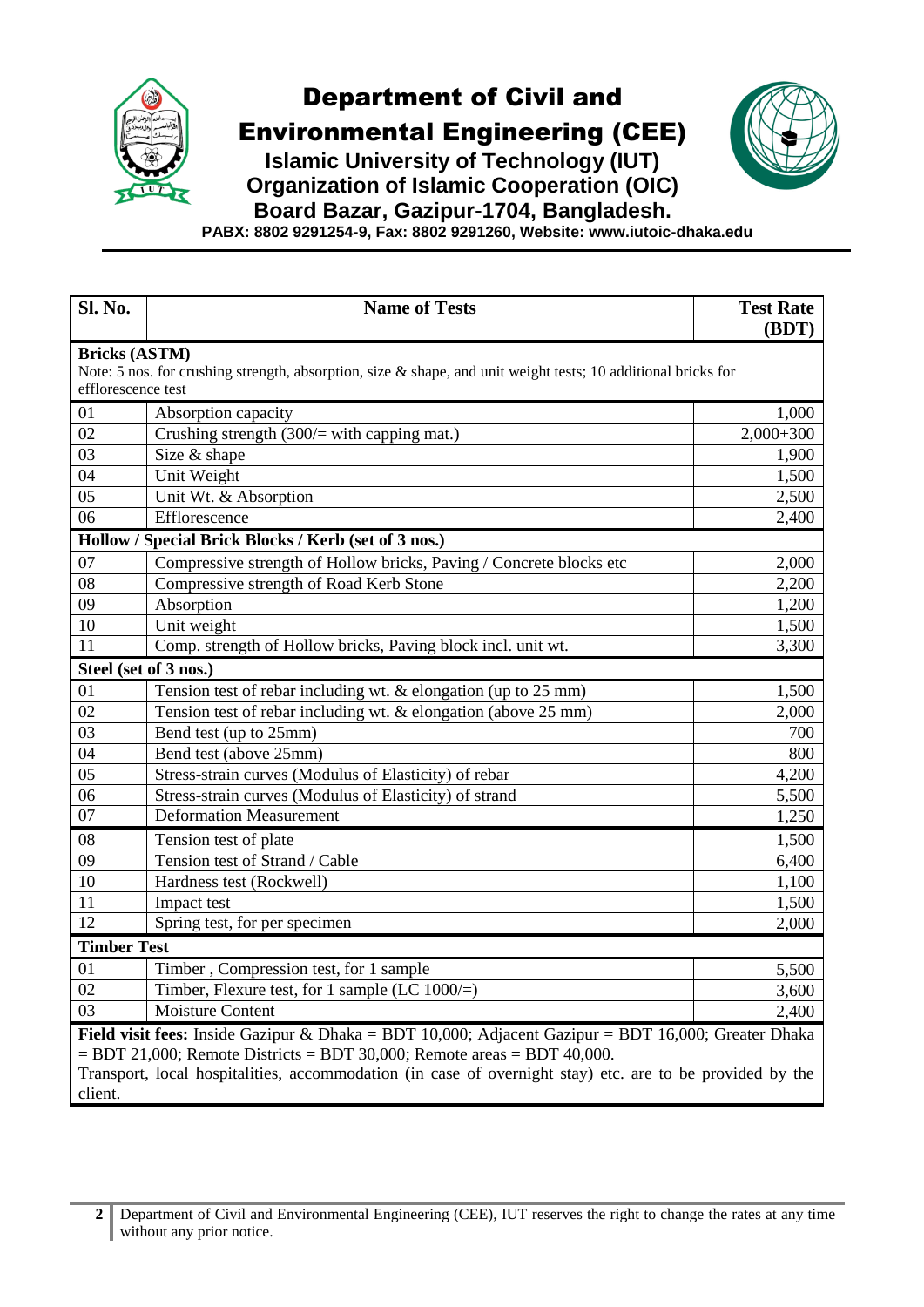

Environmental Engineering (CEE)

**Islamic University of Technology (IUT) Organization of Islamic Cooperation (OIC)**



**Board Bazar, Gazipur-1704, Bangladesh.**

**PABX: 8802 9291254-9, Fax: 8802 9291260, Website: www.iutoic-dhaka.edu**

| <b>Sl. No.</b>                                                                                             | <b>Name of Tests</b>                                                                                             | <b>Test Rate</b><br>(BDT) |
|------------------------------------------------------------------------------------------------------------|------------------------------------------------------------------------------------------------------------------|---------------------------|
| <b>Bricks (ASTM)</b>                                                                                       |                                                                                                                  |                           |
|                                                                                                            | Note: 5 nos. for crushing strength, absorption, size $\&$ shape, and unit weight tests; 10 additional bricks for |                           |
| efflorescence test                                                                                         |                                                                                                                  |                           |
| 01                                                                                                         | Absorption capacity                                                                                              | 1,000                     |
| 02                                                                                                         | Crushing strength $(300/=$ with capping mat.)                                                                    | $2,000+300$               |
| 03                                                                                                         | Size & shape                                                                                                     | 1,900                     |
| 04                                                                                                         | Unit Weight                                                                                                      | 1,500                     |
| 05                                                                                                         | Unit Wt. & Absorption                                                                                            | 2,500                     |
| 06                                                                                                         | Efflorescence                                                                                                    | 2,400                     |
|                                                                                                            | Hollow / Special Brick Blocks / Kerb (set of 3 nos.)                                                             |                           |
| 07                                                                                                         | Compressive strength of Hollow bricks, Paving / Concrete blocks etc                                              | 2,000                     |
| 08                                                                                                         | Compressive strength of Road Kerb Stone                                                                          | 2,200                     |
| 09                                                                                                         | Absorption                                                                                                       | 1,200                     |
| 10                                                                                                         | Unit weight                                                                                                      | 1,500                     |
| 11                                                                                                         | Comp. strength of Hollow bricks, Paving block incl. unit wt.                                                     | 3,300                     |
|                                                                                                            | Steel (set of 3 nos.)                                                                                            |                           |
| 01                                                                                                         | Tension test of rebar including wt. $&$ elongation (up to 25 mm)                                                 | 1,500                     |
| 02                                                                                                         | Tension test of rebar including wt. & elongation (above 25 mm)                                                   | 2,000                     |
| 03                                                                                                         | Bend test (up to 25mm)                                                                                           | 700                       |
| 04                                                                                                         | Bend test (above 25mm)                                                                                           | 800                       |
| 05                                                                                                         | Stress-strain curves (Modulus of Elasticity) of rebar                                                            | 4,200                     |
| 06                                                                                                         | Stress-strain curves (Modulus of Elasticity) of strand                                                           | 5,500                     |
| 07                                                                                                         | <b>Deformation Measurement</b>                                                                                   | 1,250                     |
| 08                                                                                                         | Tension test of plate                                                                                            | 1,500                     |
| 09                                                                                                         | Tension test of Strand / Cable                                                                                   | 6,400                     |
| 10                                                                                                         | Hardness test (Rockwell)                                                                                         | 1,100                     |
| 11                                                                                                         | Impact test                                                                                                      | 1,500                     |
| 12                                                                                                         | Spring test, for per specimen                                                                                    | 2,000                     |
| <b>Timber Test</b>                                                                                         |                                                                                                                  |                           |
| 01                                                                                                         | Timber, Compression test, for 1 sample                                                                           | 5,500                     |
| 02                                                                                                         | Timber, Flexure test, for 1 sample (LC $1000/=$ )                                                                | 3,600                     |
| 03                                                                                                         | <b>Moisture Content</b>                                                                                          | 2,400                     |
| <b>Field visit fees:</b> Inside Gazipur & Dhaka = BDT 10,000; Adjacent Gazipur = BDT 16,000; Greater Dhaka |                                                                                                                  |                           |
|                                                                                                            | $=$ BDT 21,000; Remote Districts $=$ BDT 30,000; Remote areas $=$ BDT 40,000.                                    |                           |
|                                                                                                            | Transport, local hospitalities, accommodation (in case of overnight stay) etc. are to be provided by the         |                           |
| client.                                                                                                    |                                                                                                                  |                           |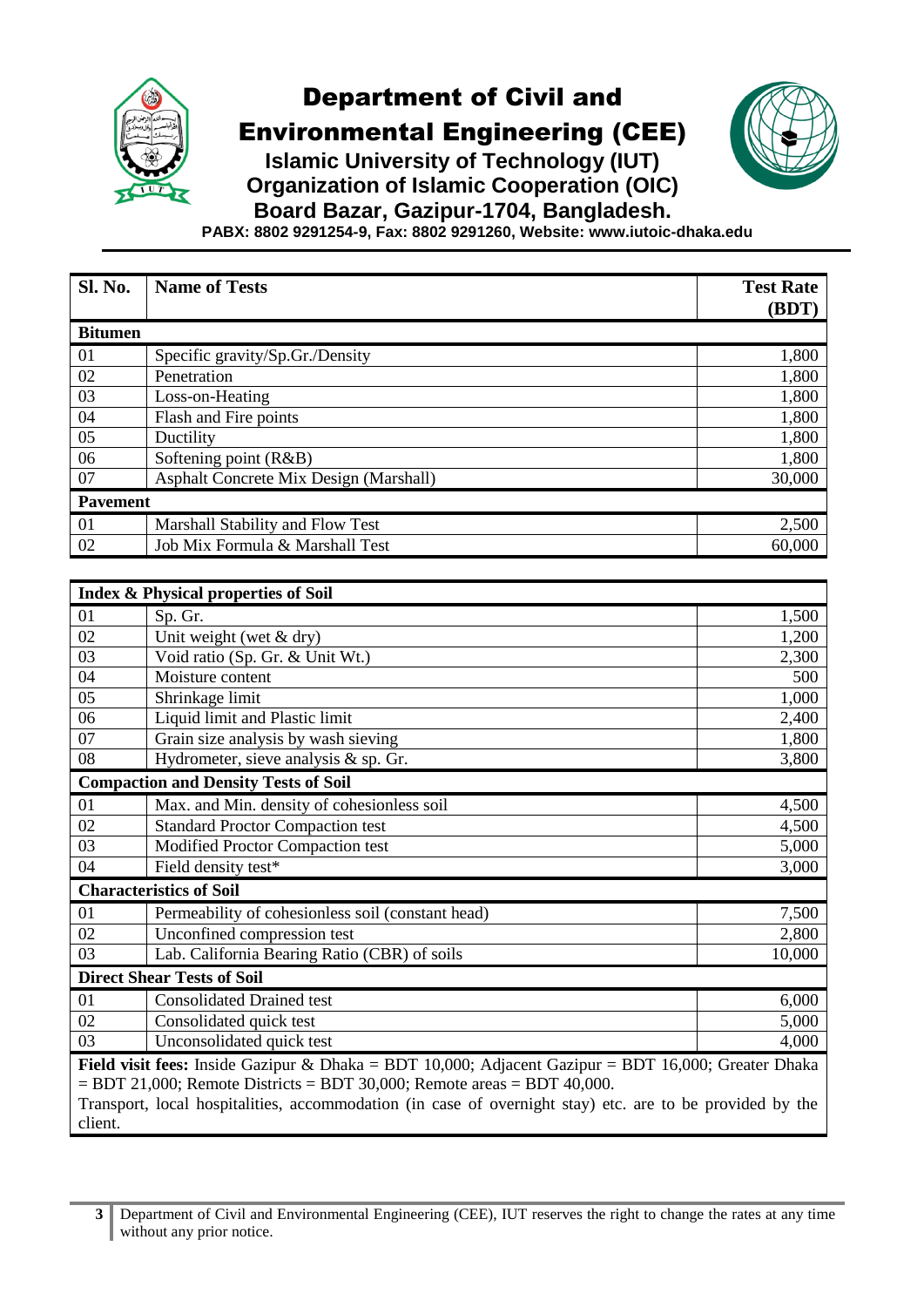

Environmental Engineering (CEE)



**Islamic University of Technology (IUT) Organization of Islamic Cooperation (OIC) Board Bazar, Gazipur-1704, Bangladesh.**

**PABX: 8802 9291254-9, Fax: 8802 9291260, Website: www.iutoic-dhaka.edu**

| Sl. No.                                                                                                                                                                                                                                                                                                            | <b>Name of Tests</b>                              | <b>Test Rate</b><br>(BDT) |
|--------------------------------------------------------------------------------------------------------------------------------------------------------------------------------------------------------------------------------------------------------------------------------------------------------------------|---------------------------------------------------|---------------------------|
| <b>Bitumen</b>                                                                                                                                                                                                                                                                                                     |                                                   |                           |
| 01                                                                                                                                                                                                                                                                                                                 | Specific gravity/Sp.Gr./Density                   | 1,800                     |
| 02                                                                                                                                                                                                                                                                                                                 | Penetration                                       | 1,800                     |
| 03                                                                                                                                                                                                                                                                                                                 | Loss-on-Heating                                   | 1,800                     |
| 04                                                                                                                                                                                                                                                                                                                 | Flash and Fire points                             | 1,800                     |
| 05                                                                                                                                                                                                                                                                                                                 | Ductility                                         | 1,800                     |
| 06                                                                                                                                                                                                                                                                                                                 | Softening point (R&B)                             | 1,800                     |
| 07                                                                                                                                                                                                                                                                                                                 | Asphalt Concrete Mix Design (Marshall)            | 30,000                    |
| <b>Pavement</b>                                                                                                                                                                                                                                                                                                    |                                                   |                           |
| 01                                                                                                                                                                                                                                                                                                                 | Marshall Stability and Flow Test                  | 2,500                     |
| 02                                                                                                                                                                                                                                                                                                                 | Job Mix Formula & Marshall Test                   | 60,000                    |
|                                                                                                                                                                                                                                                                                                                    |                                                   |                           |
|                                                                                                                                                                                                                                                                                                                    | <b>Index &amp; Physical properties of Soil</b>    |                           |
| 01                                                                                                                                                                                                                                                                                                                 | Sp. Gr.                                           | 1,500                     |
| 02                                                                                                                                                                                                                                                                                                                 | Unit weight (wet $&$ dry)                         | 1,200                     |
| 03                                                                                                                                                                                                                                                                                                                 | Void ratio (Sp. Gr. & Unit Wt.)                   | 2,300                     |
| 04                                                                                                                                                                                                                                                                                                                 | Moisture content                                  | 500                       |
| 05                                                                                                                                                                                                                                                                                                                 | Shrinkage limit                                   | 1,000                     |
| $\overline{06}$                                                                                                                                                                                                                                                                                                    | Liquid limit and Plastic limit                    | 2,400                     |
| 07                                                                                                                                                                                                                                                                                                                 | Grain size analysis by wash sieving               | 1,800                     |
| 08                                                                                                                                                                                                                                                                                                                 | Hydrometer, sieve analysis & sp. Gr.              | 3,800                     |
|                                                                                                                                                                                                                                                                                                                    | <b>Compaction and Density Tests of Soil</b>       |                           |
| 01                                                                                                                                                                                                                                                                                                                 | Max. and Min. density of cohesionless soil        | 4,500                     |
| 02                                                                                                                                                                                                                                                                                                                 | <b>Standard Proctor Compaction test</b>           | 4,500                     |
| $\overline{03}$                                                                                                                                                                                                                                                                                                    | Modified Proctor Compaction test                  | 5,000                     |
| 04                                                                                                                                                                                                                                                                                                                 | Field density test*                               | 3,000                     |
|                                                                                                                                                                                                                                                                                                                    | <b>Characteristics of Soil</b>                    |                           |
| 01                                                                                                                                                                                                                                                                                                                 | Permeability of cohesionless soil (constant head) | 7,500                     |
| 02                                                                                                                                                                                                                                                                                                                 | Unconfined compression test                       | 2,800                     |
| 03                                                                                                                                                                                                                                                                                                                 | Lab. California Bearing Ratio (CBR) of soils      | 10,000                    |
| <b>Direct Shear Tests of Soil</b>                                                                                                                                                                                                                                                                                  |                                                   |                           |
| 01                                                                                                                                                                                                                                                                                                                 | <b>Consolidated Drained test</b>                  | 6,000                     |
| 02                                                                                                                                                                                                                                                                                                                 | Consolidated quick test                           | 5,000                     |
| 03                                                                                                                                                                                                                                                                                                                 | Unconsolidated quick test                         | 4,000                     |
| <b>Field visit fees:</b> Inside Gazipur & Dhaka = BDT 10,000; Adjacent Gazipur = BDT 16,000; Greater Dhaka<br>$=$ BDT 21,000; Remote Districts $=$ BDT 30,000; Remote areas $=$ BDT 40,000.<br>Transport, local hospitalities, accommodation (in case of overnight stay) etc. are to be provided by the<br>client. |                                                   |                           |

**<sup>3</sup>** Department of Civil and Environmental Engineering (CEE), IUT reserves the right to change the rates at any time without any prior notice.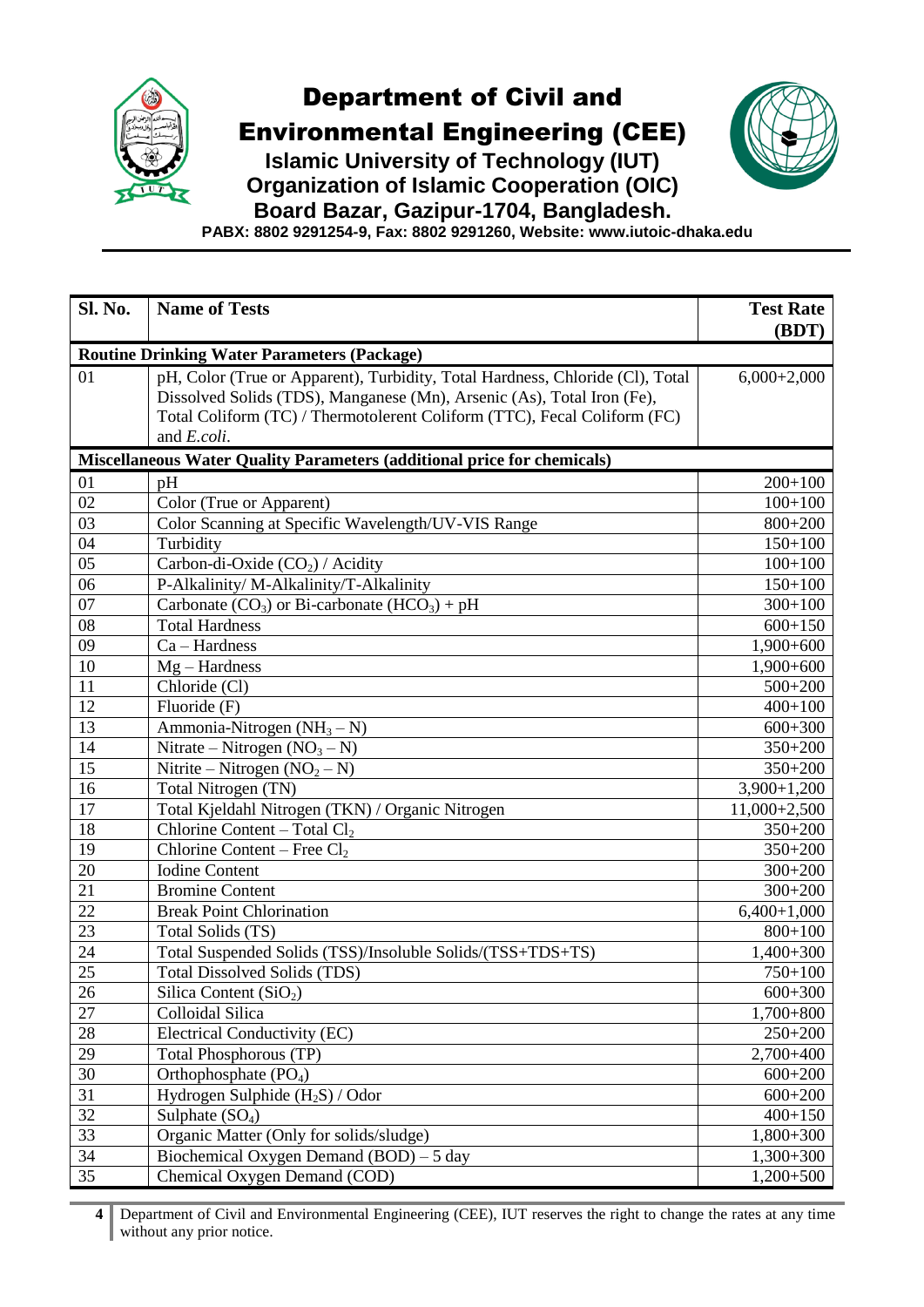

Environmental Engineering (CEE)



**Islamic University of Technology (IUT) Organization of Islamic Cooperation (OIC)**

**Board Bazar, Gazipur-1704, Bangladesh.**

**PABX: 8802 9291254-9, Fax: 8802 9291260, Website: www.iutoic-dhaka.edu**

| Sl. No.         | <b>Name of Tests</b>                                                                                                                                                                                                                                      | <b>Test Rate</b><br>(BDT) |
|-----------------|-----------------------------------------------------------------------------------------------------------------------------------------------------------------------------------------------------------------------------------------------------------|---------------------------|
|                 | <b>Routine Drinking Water Parameters (Package)</b>                                                                                                                                                                                                        |                           |
| 01              | pH, Color (True or Apparent), Turbidity, Total Hardness, Chloride (Cl), Total<br>Dissolved Solids (TDS), Manganese (Mn), Arsenic (As), Total Iron (Fe),<br>Total Coliform (TC) / Thermotolerent Coliform (TTC), Fecal Coliform (FC)<br>and <i>E.coli.</i> | $6,000+2,000$             |
|                 | <b>Miscellaneous Water Quality Parameters (additional price for chemicals)</b>                                                                                                                                                                            |                           |
| 01              | pH                                                                                                                                                                                                                                                        | $200+100$                 |
| 02              | Color (True or Apparent)                                                                                                                                                                                                                                  | $100 + 100$               |
| 03              | Color Scanning at Specific Wavelength/UV-VIS Range                                                                                                                                                                                                        | $800 + 200$               |
| $\overline{04}$ | Turbidity                                                                                                                                                                                                                                                 | $150 + 100$               |
| 05              | Carbon-di-Oxide $(CO2)$ / Acidity                                                                                                                                                                                                                         | $100+100$                 |
| 06              | P-Alkalinity/ M-Alkalinity/T-Alkalinity                                                                                                                                                                                                                   | $150 + 100$               |
| 07              | Carbonate $(CO_3)$ or Bi-carbonate $(HCO_3) + pH$                                                                                                                                                                                                         | $300 + 100$               |
| 08              | <b>Total Hardness</b>                                                                                                                                                                                                                                     | $600 + 150$               |
| 09              | $Ca - Hardness$                                                                                                                                                                                                                                           | $1,900+600$               |
| 10              | $Mg-Hardness$                                                                                                                                                                                                                                             | $1,900+600$               |
| 11              | Chloride (Cl)                                                                                                                                                                                                                                             | $500 + 200$               |
| 12              | Fluoride (F)                                                                                                                                                                                                                                              | $400 + 100$               |
| 13              | Ammonia-Nitrogen $(NH_3 - N)$                                                                                                                                                                                                                             | $600 + 300$               |
| 14              | Nitrate – Nitrogen $(NO3 – N)$                                                                                                                                                                                                                            | $350 + 200$               |
| 15              | Nitrite – Nitrogen $(NO2 – N)$                                                                                                                                                                                                                            | $350 + 200$               |
| 16              | Total Nitrogen (TN)                                                                                                                                                                                                                                       | $3,900+1,200$             |
| 17              | Total Kjeldahl Nitrogen (TKN) / Organic Nitrogen                                                                                                                                                                                                          | $11,000+2,500$            |
| 18              | Chlorine Content – Total $Cl2$                                                                                                                                                                                                                            | $350 + 200$               |
| 19              | Chlorine Content – Free $Cl2$                                                                                                                                                                                                                             | $350 + 200$               |
| 20              | <b>Iodine Content</b>                                                                                                                                                                                                                                     | $300 + 200$               |
| 21              | <b>Bromine Content</b>                                                                                                                                                                                                                                    | $300 + 200$               |
| 22              | <b>Break Point Chlorination</b>                                                                                                                                                                                                                           | $6,400+1,000$             |
| 23              | Total Solids (TS)                                                                                                                                                                                                                                         | $800 + 100$               |
| $2\overline{4}$ | Total Suspended Solids (TSS)/Insoluble Solids/(TSS+TDS+TS)                                                                                                                                                                                                | $1,400+300$               |
| $\overline{25}$ | <b>Total Dissolved Solids (TDS)</b>                                                                                                                                                                                                                       | $750 + 100$               |
| 26              | Silica Content $(SiO2)$                                                                                                                                                                                                                                   | $600+300$                 |
| 27              | Colloidal Silica                                                                                                                                                                                                                                          | 1,700+800                 |
| 28              | Electrical Conductivity (EC)                                                                                                                                                                                                                              | 250+200                   |
| 29              | <b>Total Phosphorous (TP)</b>                                                                                                                                                                                                                             | 2,700+400                 |
| $\overline{30}$ | Orthophosphate $(PO4)$                                                                                                                                                                                                                                    | $600 + 200$               |
| 31              | Hydrogen Sulphide $(H_2S) /$ Odor                                                                                                                                                                                                                         | $600 + 200$               |
| 32              | Sulphate $(SO_4)$                                                                                                                                                                                                                                         | $400 + 150$               |
| 33              | Organic Matter (Only for solids/sludge)                                                                                                                                                                                                                   | $1,800+300$               |
| 34              | Biochemical Oxygen Demand $(BOD) - 5$ day                                                                                                                                                                                                                 | 1,300+300                 |
| 35              | Chemical Oxygen Demand (COD)                                                                                                                                                                                                                              | $1,200+500$               |

 Department of Civil and Environmental Engineering (CEE), IUT reserves the right to change the rates at any time without any prior notice.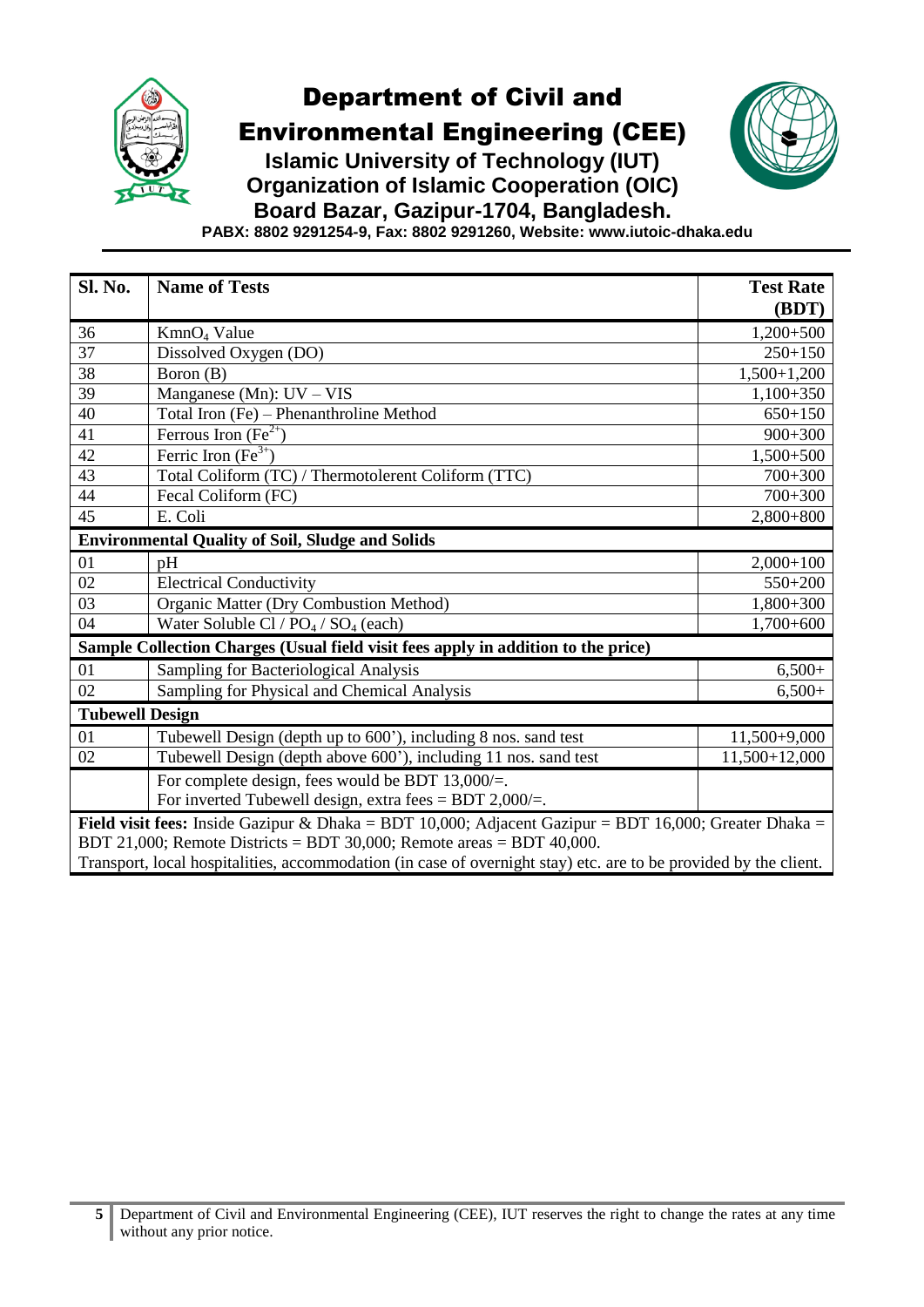

Environmental Engineering (CEE)

**Islamic University of Technology (IUT) Organization of Islamic Cooperation (OIC)**



**Board Bazar, Gazipur-1704, Bangladesh.**

**PABX: 8802 9291254-9, Fax: 8802 9291260, Website: www.iutoic-dhaka.edu**

| Sl. No.                                                                                                          | <b>Name of Tests</b>                                            | <b>Test Rate</b> |
|------------------------------------------------------------------------------------------------------------------|-----------------------------------------------------------------|------------------|
|                                                                                                                  |                                                                 | (BDT)            |
| 36                                                                                                               | KmnO <sub>4</sub> Value                                         | $1,200+500$      |
| 37                                                                                                               | Dissolved Oxygen (DO)                                           | $250 + 150$      |
| 38                                                                                                               | Boron (B)                                                       | $1,500+1,200$    |
| 39                                                                                                               | Manganese (Mn): $UV - VIS$                                      | $1,100+350$      |
| 40                                                                                                               | Total Iron (Fe) – Phenanthroline Method                         | $650 + 150$      |
| 41                                                                                                               | Ferrous Iron $(Fe^{2+})$                                        | $900 + 300$      |
| 42                                                                                                               | Ferric Iron (Fe <sup>3+</sup> )                                 | $1,500+500$      |
| 43                                                                                                               | Total Coliform (TC) / Thermotolerent Coliform (TTC)             | $700 + 300$      |
| 44                                                                                                               | Fecal Coliform (FC)                                             | $700 + 300$      |
| 45                                                                                                               | E. Coli                                                         | $2,800+800$      |
| <b>Environmental Quality of Soil, Sludge and Solids</b>                                                          |                                                                 |                  |
| 01                                                                                                               | pH                                                              | $2,000+100$      |
| 02                                                                                                               | <b>Electrical Conductivity</b>                                  | $550 + 200$      |
| 03                                                                                                               | <b>Organic Matter (Dry Combustion Method)</b>                   | $1,800+300$      |
| 04                                                                                                               | Water Soluble Cl / $PO4$ / $SO4$ (each)                         | $1,700+600$      |
| Sample Collection Charges (Usual field visit fees apply in addition to the price)                                |                                                                 |                  |
| 01                                                                                                               | Sampling for Bacteriological Analysis                           | $6,500+$         |
| 02                                                                                                               | Sampling for Physical and Chemical Analysis                     | $6,500+$         |
| <b>Tubewell Design</b>                                                                                           |                                                                 |                  |
| 01                                                                                                               | Tubewell Design (depth up to 600'), including 8 nos. sand test  | 11,500+9,000     |
| 02                                                                                                               | Tubewell Design (depth above 600'), including 11 nos. sand test | 11,500+12,000    |
|                                                                                                                  | For complete design, fees would be BDT 13,000/=.                |                  |
|                                                                                                                  | For inverted Tubewell design, extra fees = BDT $2,000/=$ .      |                  |
| Field visit fees: Inside Gazipur & Dhaka = BDT 10,000; Adjacent Gazipur = BDT 16,000; Greater Dhaka =            |                                                                 |                  |
| BDT 21,000; Remote Districts = BDT 30,000; Remote areas = BDT 40,000.                                            |                                                                 |                  |
| Transport, local hospitalities, accommodation (in case of overnight stay) etc. are to be provided by the client. |                                                                 |                  |

**5** Department of Civil and Environmental Engineering (CEE), IUT reserves the right to change the rates at any time without any prior notice.